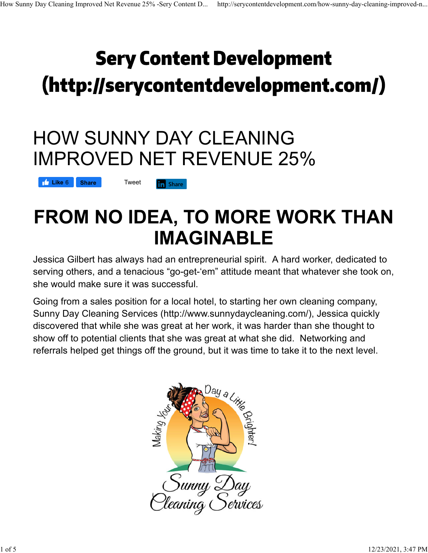# **Sery Content Development** (http://serycontentdevelopment.com/)

### HOW SUNNY DAY CLEANING IMPROVED NET REVENUE 25%

**in** Share

**Like** 6 **Share Tweet** 

## **FROM NO IDEA, TO MORE WORK THAN IMAGINABLE**

Jessica Gilbert has always had an entrepreneurial spirit. A hard worker, dedicated to serving others, and a tenacious "go-get-'em" attitude meant that whatever she took on, she would make sure it was successful.

Going from a sales position for a local hotel, to starting her own cleaning company, Sunny Day Cleaning Services (http://www.sunnydaycleaning.com/), Jessica quickly discovered that while she was great at her work, it was harder than she thought to show off to potential clients that she was great at what she did. Networking and referrals helped get things off the ground, but it was time to take it to the next level.

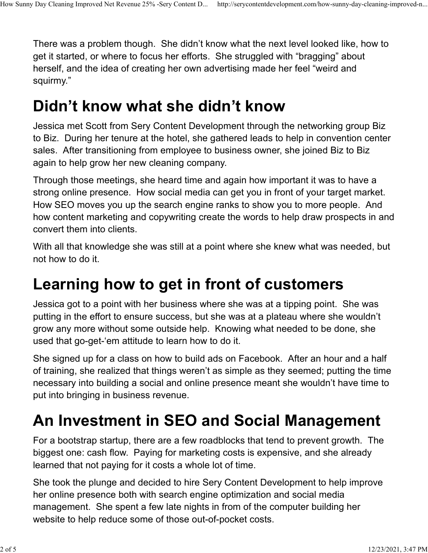There was a problem though. She didn't know what the next level looked like, how to get it started, or where to focus her efforts. She struggled with "bragging" about herself, and the idea of creating her own advertising made her feel "weird and squirmy."

#### **Didn't know what she didn't know**

Jessica met Scott from Sery Content Development through the networking group Biz to Biz. During her tenure at the hotel, she gathered leads to help in convention center sales. After transitioning from employee to business owner, she joined Biz to Biz again to help grow her new cleaning company.

Through those meetings, she heard time and again how important it was to have a strong online presence. How social media can get you in front of your target market. How SEO moves you up the search engine ranks to show you to more people. And how content marketing and copywriting create the words to help draw prospects in and convert them into clients.

With all that knowledge she was still at a point where she knew what was needed, but not how to do it.

### **Learning how to get in front of customers**

Jessica got to a point with her business where she was at a tipping point. She was putting in the effort to ensure success, but she was at a plateau where she wouldn't grow any more without some outside help. Knowing what needed to be done, she used that go-get-'em attitude to learn how to do it.

She signed up for a class on how to build ads on Facebook. After an hour and a half of training, she realized that things weren't as simple as they seemed; putting the time necessary into building a social and online presence meant she wouldn't have time to put into bringing in business revenue.

### **An Investment in SEO and Social Management**

For a bootstrap startup, there are a few roadblocks that tend to prevent growth. The biggest one: cash flow. Paying for marketing costs is expensive, and she already learned that not paying for it costs a whole lot of time.

She took the plunge and decided to hire Sery Content Development to help improve her online presence both with search engine optimization and social media management. She spent a few late nights in from of the computer building her website to help reduce some of those out-of-pocket costs.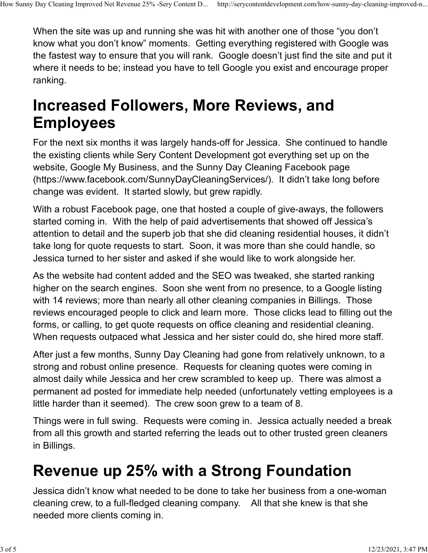When the site was up and running she was hit with another one of those "you don't know what you don't know" moments. Getting everything registered with Google was the fastest way to ensure that you will rank. Google doesn't just find the site and put it where it needs to be; instead you have to tell Google you exist and encourage proper ranking.

#### **Increased Followers, More Reviews, and Employees**

For the next six months it was largely hands-off for Jessica. She continued to handle the existing clients while Sery Content Development got everything set up on the website, Google My Business, and the Sunny Day Cleaning Facebook page (https://www.facebook.com/SunnyDayCleaningServices/). It didn't take long before change was evident. It started slowly, but grew rapidly.

With a robust Facebook page, one that hosted a couple of give-aways, the followers started coming in. With the help of paid advertisements that showed off Jessica's attention to detail and the superb job that she did cleaning residential houses, it didn't take long for quote requests to start. Soon, it was more than she could handle, so Jessica turned to her sister and asked if she would like to work alongside her.

As the website had content added and the SEO was tweaked, she started ranking higher on the search engines. Soon she went from no presence, to a Google listing with 14 reviews; more than nearly all other cleaning companies in Billings. Those reviews encouraged people to click and learn more. Those clicks lead to filling out the forms, or calling, to get quote requests on office cleaning and residential cleaning. When requests outpaced what Jessica and her sister could do, she hired more staff.

After just a few months, Sunny Day Cleaning had gone from relatively unknown, to a strong and robust online presence. Requests for cleaning quotes were coming in almost daily while Jessica and her crew scrambled to keep up. There was almost a permanent ad posted for immediate help needed (unfortunately vetting employees is a little harder than it seemed). The crew soon grew to a team of 8.

Things were in full swing. Requests were coming in. Jessica actually needed a break from all this growth and started referring the leads out to other trusted green cleaners in Billings.

### **Revenue up 25% with a Strong Foundation**

Jessica didn't know what needed to be done to take her business from a one-woman cleaning crew, to a full-fledged cleaning company. All that she knew is that she needed more clients coming in.